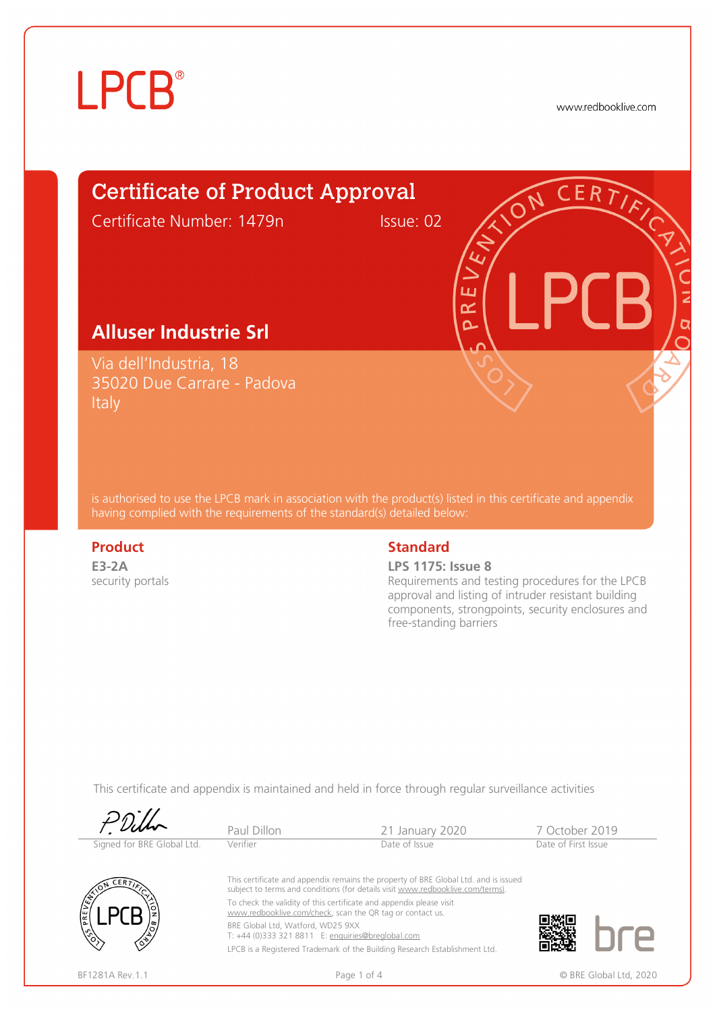# **LPCB**®

www.redbooklive.com

### Certificate of Product Approval Certificate Number: 1479n Issue: 02

#### **Alluser Industrie Srl**

Via dell'Industria, 18 35020 Due Carrare - Padova **Italy** 

is authorised to use the LPCB mark in association with the product(s) listed in this certificate and appendix having complied with the requirements of the standard(s) detailed below:

**E3-2A**  security portals

#### **Product** Standard **Standard**

**LPS 1175: Issue 8**

ய œ  $\overline{\mathbf{C}}$ 

Requirements and testing procedures for the LPCB approval and listing of intruder resistant building components, strongpoints, security enclosures and free-standing barriers

This certificate and appendix is maintained and held in force through regular surveillance activities

|                            | Paul Dillon                                                                            | 21 January 2020                                                                                                                                                                                                                                                                                                                                                                         | 7 October 2019      |                        |
|----------------------------|----------------------------------------------------------------------------------------|-----------------------------------------------------------------------------------------------------------------------------------------------------------------------------------------------------------------------------------------------------------------------------------------------------------------------------------------------------------------------------------------|---------------------|------------------------|
| Signed for BRE Global Ltd. | Verifier                                                                               | Date of Issue                                                                                                                                                                                                                                                                                                                                                                           | Date of First Issue |                        |
| <b>ERT</b><br>PRE          | BRE Global Ltd, Watford, WD25 9XX<br>T: +44 (0)333 321 8811 E: enquiries@breglobal.com | This certificate and appendix remains the property of BRE Global Ltd. and is issued<br>subject to terms and conditions (for details visit www.redbooklive.com/terms).<br>To check the validity of this certificate and appendix please visit<br>www.redbooklive.com/check, scan the QR tag or contact us.<br>LPCB is a Registered Trademark of the Building Research Establishment Ltd. |                     |                        |
| BF1281A Rev.1.1            |                                                                                        | Page 1 of 4                                                                                                                                                                                                                                                                                                                                                                             |                     | © BRE Global Ltd, 2020 |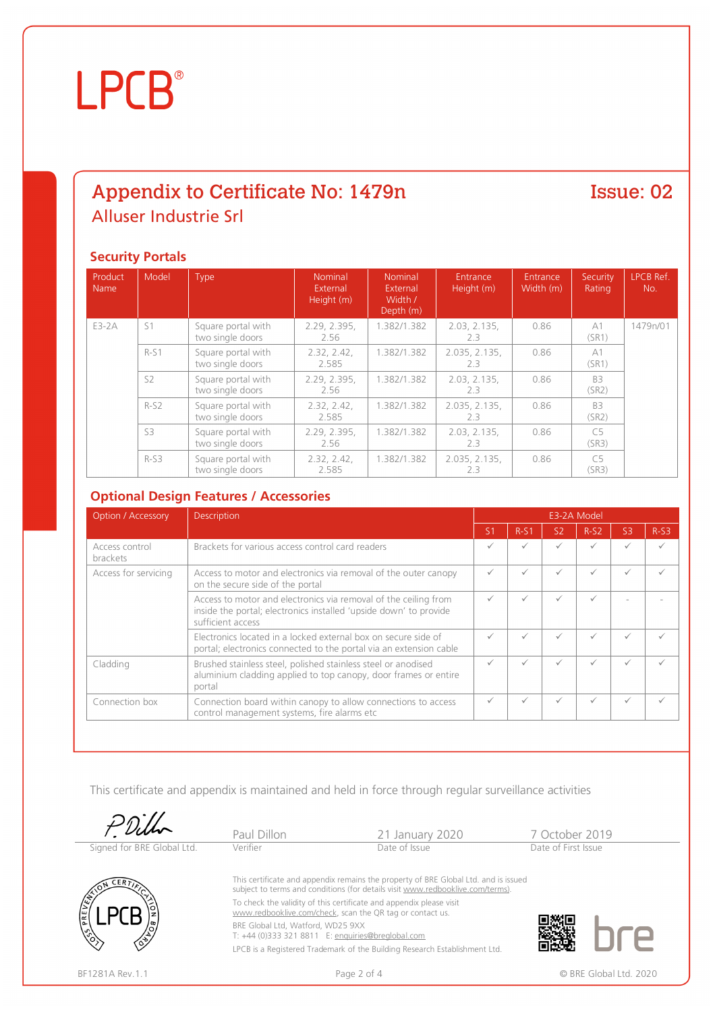## **LPCB**®

#### Appendix to Certificate No: 1479n Alluser Industrie Srl

#### Issue: 02

#### **Security Portals**

| Product<br>Name | Model          | Type                                   | <b>Nominal</b><br>External<br>Height (m) | Nominal<br>External<br>Width /<br>Depth (m) | Entrance<br>Height (m) | Entrance<br>Width (m) | Security<br>Rating      | LPCB Ref.<br>No. |
|-----------------|----------------|----------------------------------------|------------------------------------------|---------------------------------------------|------------------------|-----------------------|-------------------------|------------------|
| E3-2A           | S <sub>1</sub> | Square portal with<br>two single doors | 2.29, 2.395,<br>2.56                     | 1.382/1.382                                 | 2.03, 2.135,<br>2.3    | 0.86                  | A1<br>(SR1)             | 1479n/01         |
|                 | $R-S1$         | Square portal with<br>two single doors | 2.32, 2.42,<br>2.585                     | 1.382/1.382                                 | 2.035, 2.135,<br>2.3   | 0.86                  | A1<br>(SR1)             |                  |
|                 | S <sub>2</sub> | Square portal with<br>two single doors | 2.29, 2.395,<br>2.56                     | 1.382/1.382                                 | 2.03, 2.135,<br>2.3    | 0.86                  | B <sub>3</sub><br>(SR2) |                  |
|                 | $R-S2$         | Square portal with<br>two single doors | 2.32, 2.42,<br>2.585                     | 1.382/1.382                                 | 2.035, 2.135,<br>2.3   | 0.86                  | B <sub>3</sub><br>(SR2) |                  |
|                 | S3             | Square portal with<br>two single doors | 2.29, 2.395,<br>2.56                     | 1.382/1.382                                 | 2.03, 2.135,<br>2.3    | 0.86                  | C <sub>5</sub><br>(SR3) |                  |
|                 | $R-S3$         | Square portal with<br>two single doors | 2.32, 2.42,<br>2.585                     | 1.382/1.382                                 | 2.035, 2.135,<br>2.3   | 0.86                  | C <sub>5</sub><br>(SR3) |                  |

#### **Optional Design Features / Accessories**

| <b>Option / Accessory</b>  | <b>Description</b>                                                                                                                                        |                | E3-2A Model |                |              |                |        |  |
|----------------------------|-----------------------------------------------------------------------------------------------------------------------------------------------------------|----------------|-------------|----------------|--------------|----------------|--------|--|
|                            |                                                                                                                                                           | S <sub>1</sub> | $R-S1$      | S <sub>2</sub> | $R-S2$       | S <sub>3</sub> | $R-S3$ |  |
| Access control<br>brackets | Brackets for various access control card readers                                                                                                          |                |             |                | ✓            |                |        |  |
| Access for servicing       | Access to motor and electronics via removal of the outer canopy<br>on the secure side of the portal                                                       |                |             |                | $\checkmark$ | ✓              |        |  |
|                            | Access to motor and electronics via removal of the ceiling from<br>inside the portal; electronics installed 'upside down' to provide<br>sufficient access |                |             | $\checkmark$   | ✓            |                |        |  |
|                            | Electronics located in a locked external box on secure side of<br>portal; electronics connected to the portal via an extension cable                      |                |             | ✓              | √            |                |        |  |
| Cladding                   | Brushed stainless steel, polished stainless steel or anodised<br>aluminium cladding applied to top canopy, door frames or entire<br>portal                |                |             |                | ✓            | ✓              |        |  |
| Connection box             | Connection board within canopy to allow connections to access<br>control management systems, fire alarms etc                                              | $\checkmark$   |             |                | $\checkmark$ | ✓              |        |  |

This certificate and appendix is maintained and held in force through regular surveillance activities

|                            | Paul Dillon                                                                                                                      | 21 January 2020                                                                                                                                                       | 7 October 2019      |  |  |
|----------------------------|----------------------------------------------------------------------------------------------------------------------------------|-----------------------------------------------------------------------------------------------------------------------------------------------------------------------|---------------------|--|--|
| Signed for BRE Global Ltd. | Verifier                                                                                                                         | Date of Issue                                                                                                                                                         | Date of First Issue |  |  |
| PREVE                      | To check the validity of this certificate and appendix please visit<br>www.redbooklive.com/check, scan the QR tag or contact us. | This certificate and appendix remains the property of BRE Global Ltd. and is issued<br>subject to terms and conditions (for details visit www.redbooklive.com/terms). |                     |  |  |
|                            | BRE Global Ltd, Watford, WD25 9XX<br>T: +44 (0)333 321 8811 E: enquiries@breglobal.com                                           |                                                                                                                                                                       |                     |  |  |
|                            |                                                                                                                                  | LPCB is a Registered Trademark of the Building Research Establishment Ltd.                                                                                            |                     |  |  |

BF1281A Rev.1.1 **Page 2 of 4** Page 2 of 4 © BRE Global Ltd. 2020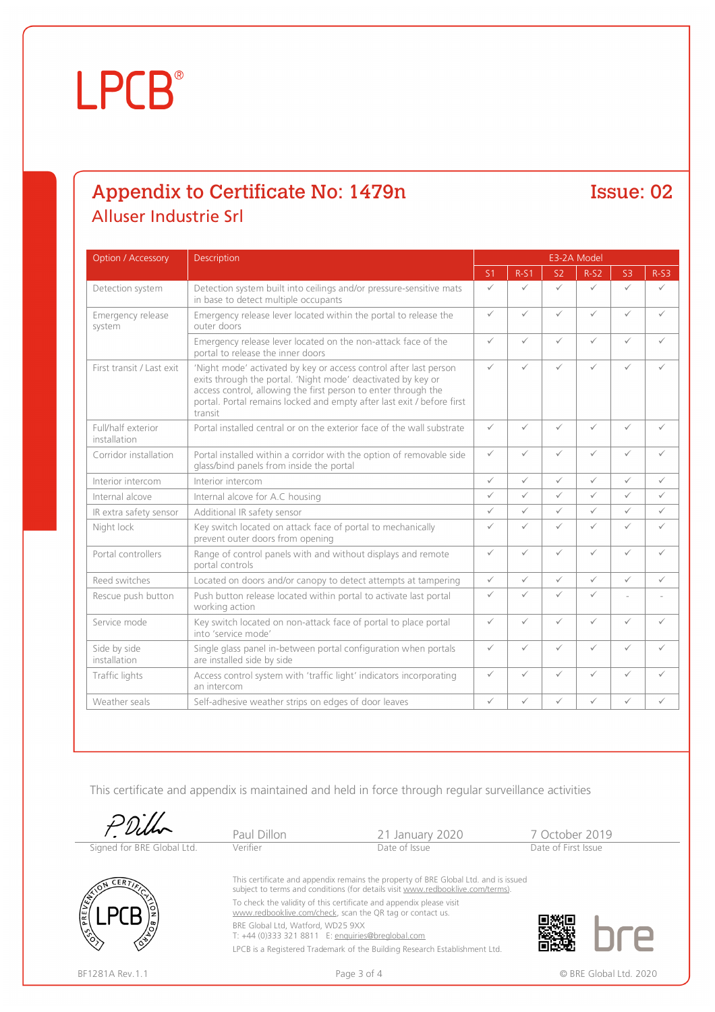## **LPCB**®

### Appendix to Certificate No: 1479n Alluser Industrie Srl

#### Issue: 02

| <b>Option / Accessory</b>          | Description                                                                                                                                                                                                                                                                              | E3-2A Model    |              |                |              |                |              |  |
|------------------------------------|------------------------------------------------------------------------------------------------------------------------------------------------------------------------------------------------------------------------------------------------------------------------------------------|----------------|--------------|----------------|--------------|----------------|--------------|--|
|                                    |                                                                                                                                                                                                                                                                                          | S <sub>1</sub> | $R-S1$       | S <sub>2</sub> | $R-S2$       | S <sub>3</sub> | $R-S3$       |  |
| Detection system                   | Detection system built into ceilings and/or pressure-sensitive mats<br>in base to detect multiple occupants                                                                                                                                                                              |                | $\checkmark$ | $\checkmark$   | $\checkmark$ | $\checkmark$   | $\checkmark$ |  |
| Emergency release<br>system        | Emergency release lever located within the portal to release the<br>outer doors                                                                                                                                                                                                          | $\checkmark$   | $\checkmark$ | $\checkmark$   | ✓            | $\checkmark$   | $\checkmark$ |  |
|                                    | Emergency release lever located on the non-attack face of the<br>portal to release the inner doors                                                                                                                                                                                       | $\checkmark$   | $\checkmark$ | $\checkmark$   | ✓            | $\checkmark$   | $\checkmark$ |  |
| First transit / Last exit          | 'Night mode' activated by key or access control after last person<br>exits through the portal. 'Night mode' deactivated by key or<br>access control, allowing the first person to enter through the<br>portal. Portal remains locked and empty after last exit / before first<br>transit | ✓              | $\checkmark$ | $\checkmark$   | ✓            | $\checkmark$   | ✓            |  |
| Full/half exterior<br>installation | Portal installed central or on the exterior face of the wall substrate                                                                                                                                                                                                                   | $\checkmark$   | $\checkmark$ | $\checkmark$   | $\checkmark$ | $\checkmark$   | $\checkmark$ |  |
| Corridor installation              | Portal installed within a corridor with the option of removable side<br>glass/bind panels from inside the portal                                                                                                                                                                         | ✓              | $\checkmark$ | $\checkmark$   | ✓            | $\checkmark$   | $\checkmark$ |  |
| Interior intercom                  | Interior intercom                                                                                                                                                                                                                                                                        | $\checkmark$   | $\checkmark$ | $\checkmark$   | $\checkmark$ | $\checkmark$   | $\checkmark$ |  |
| Internal alcove                    | Internal alcove for A.C housing                                                                                                                                                                                                                                                          | $\checkmark$   | $\checkmark$ | $\checkmark$   | $\checkmark$ | $\checkmark$   | $\checkmark$ |  |
| IR extra safety sensor             | Additional IR safety sensor                                                                                                                                                                                                                                                              | ✓              | $\checkmark$ | $\checkmark$   | ✓            | $\checkmark$   | $\checkmark$ |  |
| Night lock                         | Key switch located on attack face of portal to mechanically<br>prevent outer doors from opening                                                                                                                                                                                          | ✓              | $\checkmark$ | $\checkmark$   | ✓            | $\checkmark$   | $\checkmark$ |  |
| Portal controllers                 | Range of control panels with and without displays and remote<br>portal controls                                                                                                                                                                                                          | ✓              | $\checkmark$ | $\checkmark$   | ✓            | $\checkmark$   | $\checkmark$ |  |
| Reed switches                      | Located on doors and/or canopy to detect attempts at tampering                                                                                                                                                                                                                           | $\checkmark$   | $\checkmark$ | $\checkmark$   | $\checkmark$ | $\checkmark$   | $\checkmark$ |  |
| Rescue push button                 | Push button release located within portal to activate last portal<br>working action                                                                                                                                                                                                      | ✓              | $\checkmark$ | $\checkmark$   | ✓            | ٠              |              |  |
| Service mode                       | Key switch located on non-attack face of portal to place portal<br>into 'service mode'                                                                                                                                                                                                   | ✓              | $\checkmark$ | $\checkmark$   | ✓            | $\checkmark$   | $\checkmark$ |  |
| Side by side<br>installation       | Single glass panel in-between portal configuration when portals<br>are installed side by side                                                                                                                                                                                            | $\checkmark$   | $\checkmark$ | $\checkmark$   | ✓            | $\checkmark$   | $\checkmark$ |  |
| Traffic lights                     | Access control system with 'traffic light' indicators incorporating<br>an intercom                                                                                                                                                                                                       | $\checkmark$   | $\checkmark$ | $\checkmark$   | ✓            | $\checkmark$   | $\checkmark$ |  |
| Weather seals                      | Self-adhesive weather strips on edges of door leaves                                                                                                                                                                                                                                     | ✓              | ✓            | ✓              | $\checkmark$ | $\checkmark$   | $\checkmark$ |  |

This certificate and appendix is maintained and held in force through regular surveillance activities



BF1281A Rev.1.1 **Page 3 of 4** Page 3 of 4 © BRE Global Ltd. 2020